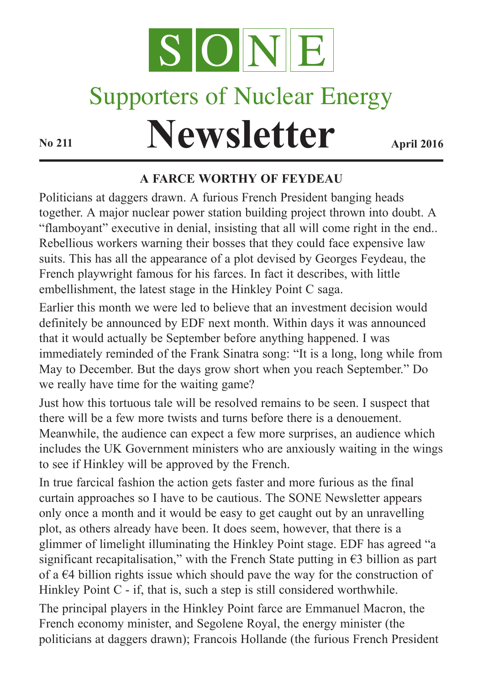

# Supporters of Nuclear Energy

# **Newsletter April 2016**

#### **A FARCE WORTHY OF FEYDEAU**

Politicians at daggers drawn. A furious French President banging heads together. A major nuclear power station building project thrown into doubt. A "flamboyant" executive in denial, insisting that all will come right in the end.. Rebellious workers warning their bosses that they could face expensive law suits. This has all the appearance of a plot devised by Georges Feydeau, the French playwright famous for his farces. In fact it describes, with little embellishment, the latest stage in the Hinkley Point C saga.

Earlier this month we were led to believe that an investment decision would definitely be announced by EDF next month. Within days it was announced that it would actually be September before anything happened. I was immediately reminded of the Frank Sinatra song: "It is a long, long while from May to December. But the days grow short when you reach September." Do we really have time for the waiting game?

Just how this tortuous tale will be resolved remains to be seen. I suspect that there will be a few more twists and turns before there is a denouement. Meanwhile, the audience can expect a few more surprises, an audience which includes the UK Government ministers who are anxiously waiting in the wings to see if Hinkley will be approved by the French.

In true farcical fashion the action gets faster and more furious as the final curtain approaches so I have to be cautious. The SONE Newsletter appears only once a month and it would be easy to get caught out by an unravelling plot, as others already have been. It does seem, however, that there is a glimmer of limelight illuminating the Hinkley Point stage. EDF has agreed "a significant recapitalisation," with the French State putting in  $\epsilon$ 3 billion as part of a €4 billion rights issue which should pave the way for the construction of Hinkley Point C - if, that is, such a step is still considered worthwhile.

The principal players in the Hinkley Point farce are Emmanuel Macron, the French economy minister, and Segolene Royal, the energy minister (the politicians at daggers drawn); Francois Hollande (the furious French President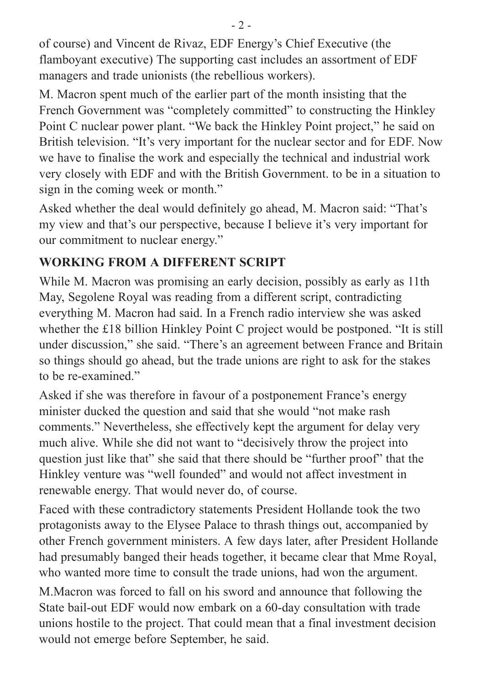of course) and Vincent de Rivaz, EDF Energy's Chief Executive (the flamboyant executive) The supporting cast includes an assortment of EDF managers and trade unionists (the rebellious workers).

M. Macron spent much of the earlier part of the month insisting that the French Government was "completely committed" to constructing the Hinkley Point C nuclear power plant. "We back the Hinkley Point project," he said on British television. "It's very important for the nuclear sector and for EDF. Now we have to finalise the work and especially the technical and industrial work very closely with EDF and with the British Government. to be in a situation to sign in the coming week or month."

Asked whether the deal would definitely go ahead, M. Macron said: "That's my view and that's our perspective, because I believe it's very important for our commitment to nuclear energy."

#### **WORKING FROM A DIFFERENT SCRIPT**

While M. Macron was promising an early decision, possibly as early as 11th May, Segolene Royal was reading from a different script, contradicting everything M. Macron had said. In a French radio interview she was asked whether the £18 billion Hinkley Point C project would be postponed. "It is still under discussion," she said. "There's an agreement between France and Britain so things should go ahead, but the trade unions are right to ask for the stakes to be re-examined."

Asked if she was therefore in favour of a postponement France's energy minister ducked the question and said that she would "not make rash comments." Nevertheless, she effectively kept the argument for delay very much alive. While she did not want to "decisively throw the project into question just like that" she said that there should be "further proof" that the Hinkley venture was "well founded" and would not affect investment in renewable energy. That would never do, of course.

Faced with these contradictory statements President Hollande took the two protagonists away to the Elysee Palace to thrash things out, accompanied by other French government ministers. A few days later, after President Hollande had presumably banged their heads together, it became clear that Mme Royal, who wanted more time to consult the trade unions, had won the argument.

M.Macron was forced to fall on his sword and announce that following the State bail-out EDF would now embark on a 60-day consultation with trade unions hostile to the project. That could mean that a final investment decision would not emerge before September, he said.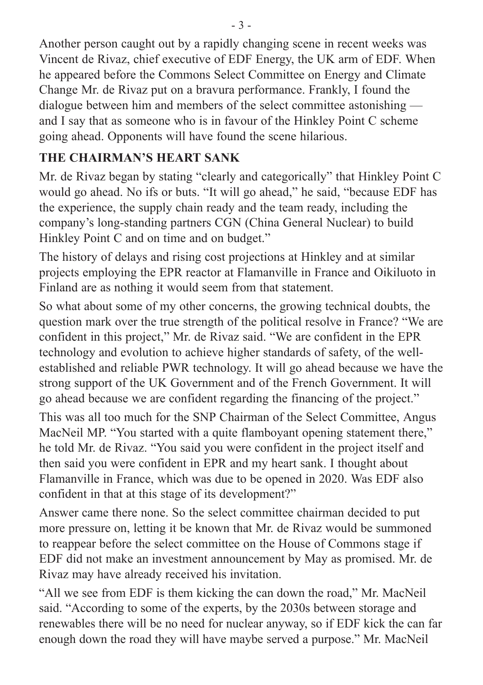Another person caught out by a rapidly changing scene in recent weeks was Vincent de Rivaz, chief executive of EDF Energy, the UK arm of EDF. When he appeared before the Commons Select Committee on Energy and Climate Change Mr. de Rivaz put on a bravura performance. Frankly, I found the dialogue between him and members of the select committee astonishing and I say that as someone who is in favour of the Hinkley Point C scheme going ahead. Opponents will have found the scene hilarious.

#### **THE CHAIRMAN'S HEART SANK**

Mr. de Rivaz began by stating "clearly and categorically" that Hinkley Point C would go ahead. No ifs or buts. "It will go ahead," he said, "because EDF has the experience, the supply chain ready and the team ready, including the company's long-standing partners CGN (China General Nuclear) to build Hinkley Point C and on time and on budget."

The history of delays and rising cost projections at Hinkley and at similar projects employing the EPR reactor at Flamanville in France and Oikiluoto in Finland are as nothing it would seem from that statement.

So what about some of my other concerns, the growing technical doubts, the question mark over the true strength of the political resolve in France? "We are confident in this project," Mr. de Rivaz said. "We are confident in the EPR technology and evolution to achieve higher standards of safety, of the wellestablished and reliable PWR technology. It will go ahead because we have the strong support of the UK Government and of the French Government. It will go ahead because we are confident regarding the financing of the project." This was all too much for the SNP Chairman of the Select Committee, Angus MacNeil MP. "You started with a quite flamboyant opening statement there," he told Mr. de Rivaz. "You said you were confident in the project itself and then said you were confident in EPR and my heart sank. I thought about

Flamanville in France, which was due to be opened in 2020. Was EDF also confident in that at this stage of its development?" Answer came there none. So the select committee chairman decided to put more pressure on, letting it be known that Mr. de Rivaz would be summoned to reappear before the select committee on the House of Commons stage if

EDF did not make an investment announcement by May as promised. Mr. de Rivaz may have already received his invitation.

"All we see from EDF is them kicking the can down the road," Mr. MacNeil said. "According to some of the experts, by the 2030s between storage and renewables there will be no need for nuclear anyway, so if EDF kick the can far enough down the road they will have maybe served a purpose." Mr. MacNeil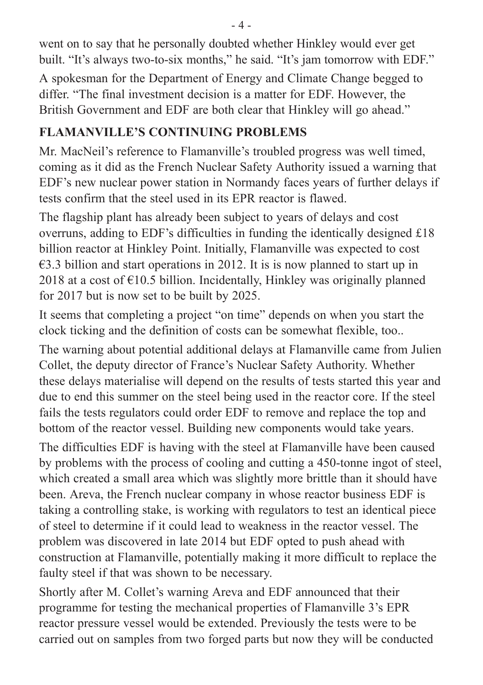went on to say that he personally doubted whether Hinkley would ever get built. "It's always two-to-six months," he said. "It's jam tomorrow with EDF."

A spokesman for the Department of Energy and Climate Change begged to differ. "The final investment decision is a matter for EDF. However, the British Government and EDF are both clear that Hinkley will go ahead."

#### **FLAMANVILLE'S CONTINUING PROBLEMS**

Mr. MacNeil's reference to Flamanville's troubled progress was well timed, coming as it did as the French Nuclear Safety Authority issued a warning that EDF's new nuclear power station in Normandy faces years of further delays if tests confirm that the steel used in its EPR reactor is flawed.

The flagship plant has already been subject to years of delays and cost overruns, adding to EDF's difficulties in funding the identically designed £18 billion reactor at Hinkley Point. Initially, Flamanville was expected to cost  $\epsilon$ 3.3 billion and start operations in 2012. It is is now planned to start up in 2018 at a cost of  $\epsilon$ 10.5 billion. Incidentally, Hinkley was originally planned for 2017 but is now set to be built by 2025.

It seems that completing a project "on time" depends on when you start the clock ticking and the definition of costs can be somewhat flexible, too..

The warning about potential additional delays at Flamanville came from Julien Collet, the deputy director of France's Nuclear Safety Authority. Whether these delays materialise will depend on the results of tests started this year and due to end this summer on the steel being used in the reactor core. If the steel fails the tests regulators could order EDF to remove and replace the top and bottom of the reactor vessel. Building new components would take years.

The difficulties EDF is having with the steel at Flamanville have been caused by problems with the process of cooling and cutting a 450-tonne ingot of steel, which created a small area which was slightly more brittle than it should have been. Areva, the French nuclear company in whose reactor business EDF is taking a controlling stake, is working with regulators to test an identical piece of steel to determine if it could lead to weakness in the reactor vessel. The problem was discovered in late 2014 but EDF opted to push ahead with construction at Flamanville, potentially making it more difficult to replace the faulty steel if that was shown to be necessary.

Shortly after M. Collet's warning Areva and EDF announced that their programme for testing the mechanical properties of Flamanville 3's EPR reactor pressure vessel would be extended. Previously the tests were to be carried out on samples from two forged parts but now they will be conducted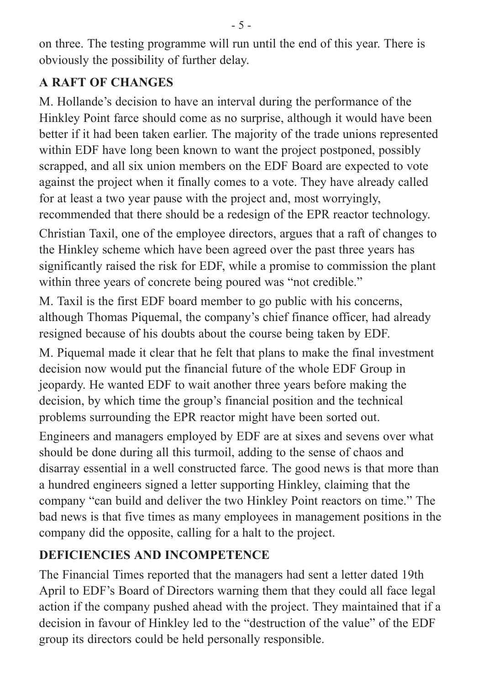on three. The testing programme will run until the end of this year. There is obviously the possibility of further delay.

#### **A RAFT OF CHANGES**

M. Hollande's decision to have an interval during the performance of the Hinkley Point farce should come as no surprise, although it would have been better if it had been taken earlier. The majority of the trade unions represented within EDF have long been known to want the project postponed, possibly scrapped, and all six union members on the EDF Board are expected to vote against the project when it finally comes to a vote. They have already called for at least a two year pause with the project and, most worryingly, recommended that there should be a redesign of the EPR reactor technology.

Christian Taxil, one of the employee directors, argues that a raft of changes to the Hinkley scheme which have been agreed over the past three years has significantly raised the risk for EDF, while a promise to commission the plant within three years of concrete being poured was "not credible."

M. Taxil is the first EDF board member to go public with his concerns, although Thomas Piquemal, the company's chief finance officer, had already resigned because of his doubts about the course being taken by EDF.

M. Piquemal made it clear that he felt that plans to make the final investment decision now would put the financial future of the whole EDF Group in jeopardy. He wanted EDF to wait another three years before making the decision, by which time the group's financial position and the technical problems surrounding the EPR reactor might have been sorted out.

Engineers and managers employed by EDF are at sixes and sevens over what should be done during all this turmoil, adding to the sense of chaos and disarray essential in a well constructed farce. The good news is that more than a hundred engineers signed a letter supporting Hinkley, claiming that the company "can build and deliver the two Hinkley Point reactors on time." The bad news is that five times as many employees in management positions in the company did the opposite, calling for a halt to the project.

### **DEFICIENCIES AND INCOMPETENCE**

The Financial Times reported that the managers had sent a letter dated 19th April to EDF's Board of Directors warning them that they could all face legal action if the company pushed ahead with the project. They maintained that if a decision in favour of Hinkley led to the "destruction of the value" of the EDF group its directors could be held personally responsible.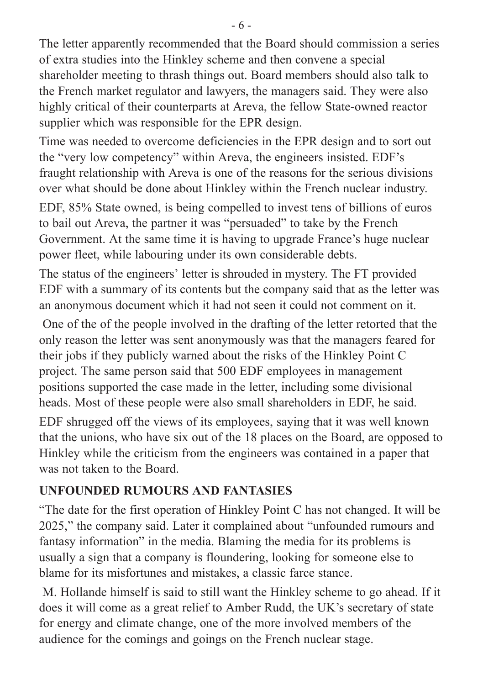The letter apparently recommended that the Board should commission a series of extra studies into the Hinkley scheme and then convene a special shareholder meeting to thrash things out. Board members should also talk to the French market regulator and lawyers, the managers said. They were also highly critical of their counterparts at Areva, the fellow State-owned reactor supplier which was responsible for the EPR design.

Time was needed to overcome deficiencies in the EPR design and to sort out the "very low competency" within Areva, the engineers insisted. EDF's fraught relationship with Areva is one of the reasons for the serious divisions over what should be done about Hinkley within the French nuclear industry.

EDF, 85% State owned, is being compelled to invest tens of billions of euros to bail out Areva, the partner it was "persuaded" to take by the French Government. At the same time it is having to upgrade France's huge nuclear power fleet, while labouring under its own considerable debts.

The status of the engineers' letter is shrouded in mystery. The FT provided EDF with a summary of its contents but the company said that as the letter was an anonymous document which it had not seen it could not comment on it.

One of the of the people involved in the drafting of the letter retorted that the only reason the letter was sent anonymously was that the managers feared for their jobs if they publicly warned about the risks of the Hinkley Point C project. The same person said that 500 EDF employees in management positions supported the case made in the letter, including some divisional heads. Most of these people were also small shareholders in EDF, he said.

EDF shrugged off the views of its employees, saying that it was well known that the unions, who have six out of the 18 places on the Board, are opposed to Hinkley while the criticism from the engineers was contained in a paper that was not taken to the Board.

#### **UNFOUNDED RUMOURS AND FANTASIES**

"The date for the first operation of Hinkley Point C has not changed. It will be 2025," the company said. Later it complained about "unfounded rumours and fantasy information" in the media. Blaming the media for its problems is usually a sign that a company is floundering, looking for someone else to blame for its misfortunes and mistakes, a classic farce stance.

M. Hollande himself is said to still want the Hinkley scheme to go ahead. If it does it will come as a great relief to Amber Rudd, the UK's secretary of state for energy and climate change, one of the more involved members of the audience for the comings and goings on the French nuclear stage.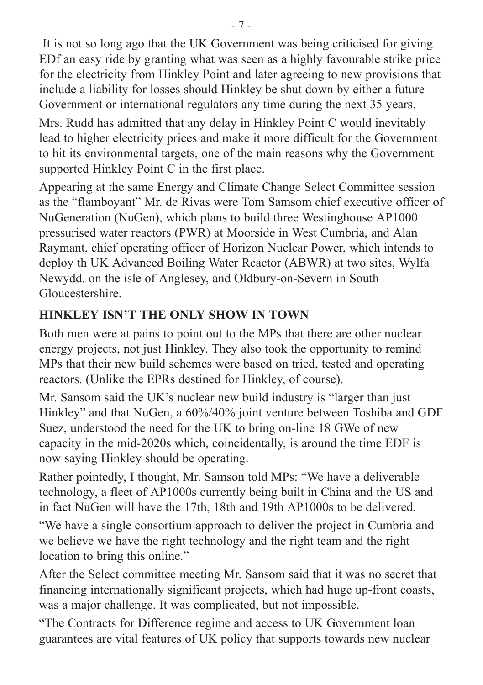It is not so long ago that the UK Government was being criticised for giving EDf an easy ride by granting what was seen as a highly favourable strike price for the electricity from Hinkley Point and later agreeing to new provisions that include a liability for losses should Hinkley be shut down by either a future Government or international regulators any time during the next 35 years.

Mrs. Rudd has admitted that any delay in Hinkley Point C would inevitably lead to higher electricity prices and make it more difficult for the Government to hit its environmental targets, one of the main reasons why the Government supported Hinkley Point C in the first place.

Appearing at the same Energy and Climate Change Select Committee session as the "flamboyant" Mr. de Rivas were Tom Samsom chief executive officer of NuGeneration (NuGen), which plans to build three Westinghouse AP1000 pressurised water reactors (PWR) at Moorside in West Cumbria, and Alan Raymant, chief operating officer of Horizon Nuclear Power, which intends to deploy th UK Advanced Boiling Water Reactor (ABWR) at two sites, Wylfa Newydd, on the isle of Anglesey, and Oldbury-on-Severn in South Gloucestershire.

#### **HINKLEY ISN'T THE ONLY SHOW IN TOWN**

Both men were at pains to point out to the MPs that there are other nuclear energy projects, not just Hinkley. They also took the opportunity to remind MPs that their new build schemes were based on tried, tested and operating reactors. (Unlike the EPRs destined for Hinkley, of course).

Mr. Sansom said the UK's nuclear new build industry is "larger than just Hinkley" and that NuGen, a 60%/40% joint venture between Toshiba and GDF Suez, understood the need for the UK to bring on-line 18 GWe of new capacity in the mid-2020s which, coincidentally, is around the time EDF is now saying Hinkley should be operating.

Rather pointedly, I thought, Mr. Samson told MPs: "We have a deliverable technology, a fleet of AP1000s currently being built in China and the US and in fact NuGen will have the 17th, 18th and 19th AP1000s to be delivered.

"We have a single consortium approach to deliver the project in Cumbria and we believe we have the right technology and the right team and the right location to bring this online."

After the Select committee meeting Mr. Sansom said that it was no secret that financing internationally significant projects, which had huge up-front coasts, was a major challenge. It was complicated, but not impossible.

"The Contracts for Difference regime and access to UK Government loan guarantees are vital features of UK policy that supports towards new nuclear